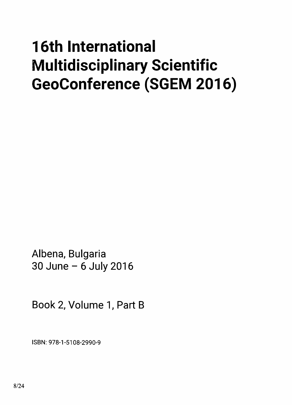## 16th International Multidisciplinary Scientific GeoConference (SGEM 2016)

Albena, Bulgaria 30 June - 6 July 2016

Book 2, Volume 1, Part B

ISBN: 978-1-5108-2990-9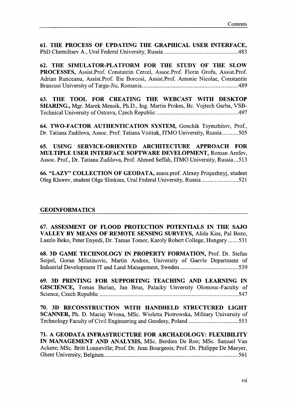61. THE PROCESS OF UPDATING THE GRAPHICAL USER INTERFACE, PhD Cherniltsev A., Ural Federal University, Russia <sup>483</sup>

62. THE SIMULATOR-PLATFORM FOR THE STUDY OF THE SLOW PROCESSES, Assist.Prof. Constantin Cercel, Assoc.Prof. Florin Grofu, Assist.Prof. Adrian Runceanu, Assist.Prof. Hie Borcosi, Assist.Prof. Antonie Nicolae, Constantin Brancusi University of Targu-Jiu, Romania 489

63. THE TOOL FOR CREATING THE WEBCAST WITH DESKTOP SHARING., Mgr. Marek Mensik, Ph.D., Ing. Martin Prokes, Be. Vojtech Garba, VSB-Technical University ofOstrava, Czech Republic 497

64. TWO-FACTOR AUTHENTICATION SYSTEM, Gonchik Tsymzhitov, Prof., Dr. Tatiana Zudilova, Assoc. Prof. Tatiana Voitiuk, ITMO University, Russia...........505

65. USING SERVICE-ORIENTED ARCHITECTURE APPROACH FOR MULTIPLE USER INTERFACE SOFTWARE DEVELOPMENT, Roman Arefev, Assoc. Prof., Dr. Tatiana Zudilova, Prof. Ahmed Seffah, ITMO University, Russia...513

66. "LAZY" COLLECTION OF GEODATA, assos.prof. Alexey Prisjazhnyj, student Oleg Khorev, student Olga Slinkina, Ural Federal University, Russia 521

## GEOINFORMATICS

67. ASSESMENT OF FLOOD PROTECTION POTENTIALS IN THE SAJO VALLEY BY MEANS OF REMOTE SENSING SURVEYS, Alida Kiss, Pal Bozo, Laszlo Beko, Peter Enyedi, Dr. Tamas Tomor, Karoly Robert College, Hungary ....... 531

68. 3D GAME TECHNOLOGY IN PROPERTY FORMATION, Prof. Dr. Stefan Seipel, Goran Milutinovic, Martin Andree, University of Gaevle Department of Industrial Development IT and Land Management, Sweden 539

69. 3D PRINTING FOR SUPPORTING TEACHING AND LEARNING IN GISCIENCE, Tomas Burian, Jan Brus, Palacky Unversity Olomouc-Faculty of Science, Czech Republic 547

70. 3D RECONSTRUCTION WITH HANDHELD STRUCTURED LIGHT SCANNER, Ph. D. Maciej Wrona, MSc. Wioletta Piotrowska, Military University of Technology Faculty ofCivil Engineering and Geodesy, Poland 553

71. A GEODATA INFRASTRUCTURE FOR ARCHAEOLOGY: FLEXIBILITY IN MANAGEMENT AND ANALYSIS, MSc. Berdien De Roo; MSc. Samuel Van Ackere; MSc. Britt Lonneville; Prof. Dr. Jean Bourgeois; Prof. Dr. Philippe De Maeyer, Ghent University, Belgium 561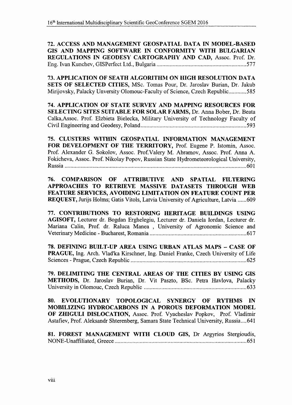72. ACCESS AND MANAGEMENT GEOSPATIAL DATA IN MODEL-BASED GIS AND MAPPING SOFTWARE IN CONFORMITY WITH BULGARIAN REGULATIONS IN GEODESY CARTOGRAPHY AND CAD, Assoc. Prof. Dr. Eng. Ivan Kunchev, GISPerfect Ltd., Bulgaria 577

73. APPLICATION OF SEATH ALGORITHM ON HIGH RESOLUTION DATA SETS OF SELECTED CITIES, MSc. Tomas Pour, Dr. Jaroslav Burian, Dr. Jakub Mirijovsky, Palacky Unversity Olomouc-Faculty of Science, Czech Republic............585

74. APPLICATION OF STATE SURVEY AND MAPPING RESOURCES FOR SELECTING SITES SUITABLE FOR SOLAR FARMS, Dr. Anna Bober, Dr. Beata Calka,Assoc. Prof. Elzbieta Bielecka, Military University of Technology Faculty of Civil Engineering and Geodesy, Poland 5000 and 500 and 593

75. CLUSTERS WITHIN GEOSPATIAL INFORMATION MANAGEMENT FOR DEVELOPMENT OF THE TERRITORY, Prof. Eugene P. Istomin, Assoc. Prof. Alexander G. Sokolov, Assoc. Prof.Valery M. Abramov, Assoc. Prof. Anna A. Fokicheva, Assoc. Prof. Nikolay Popov, Russian State Hydrometeorological University, Russia 601

76. COMPARISON OF ATTRIBUTIVE AND SPATIAL FILTERING APPROACHES TO RETRIEVE MASSIVE DATASETS THROUGH WEB FEATURE SERVICES, AVOIDING LIMITATION ON FEATURE COUNT PER REQUEST, Jurijs Holms; Gatis Vitols, Latvia University of Agriculture, Latvia ......609

77. CONTRIBUTIONS TO RESTORING HERITAGE BUILDINGS USING AGISOFT, Lecturer dr. Bogdan Erghelegiu, Lecturer dr. Daniela Iordan, Lecturer dr. Mariana Calin, Prof. dr. Raluca Manea , University of Agronomic Science and Veterinary Medicine - Bucharest, Romania 617

78. DEFINING BUILT-UP AREA USING URBAN ATLAS MAPS - CASE OF PRAGUE, Ing. Arch. Vlad'ka Kirschner, Ing. Daniel Franke, Czech University of Life Sciences - Prague, Czech Republic 625

79. DELIMITING THE CENTRAL AREAS OF THE CITIES BY USING GIS METHODS, Dr. Jaroslav Burian, Dr. Vit Paszto, BSc. Petra Havlova, Palacky University in Olomouc, Czech Republic 633

80. EVOLUTIONARY TOPOLOGICAL SYNERGY OF RYTHMS IN MOBILIZING HYDROCARBONS IN A POROUS DEFORMATION MODEL OF ZHIGULI DISLOCATION, Assoc. Prof. Vyacheslav Popkov, Prof. Vladimir Astafiev, Prof. Aleksandr Shterenberg, Samara State Technical University, Russia....641

81. FOREST MANAGEMENT WITH CLOUD GIS, Dr Argyrios Stergioudis, NONE-Unaffiliated, Greece 651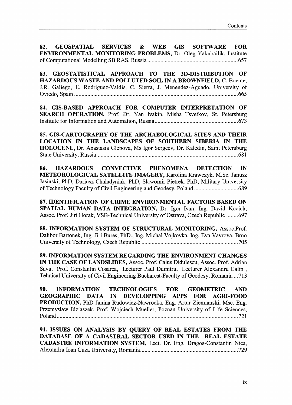82. GEOSPATIAL SERVICES & WEB GIS SOFTWARE FOR ENVIRONMENTAL MONITORING PROBLEMS, Dr. Oleg Yakubailik, Institute of Computational Modelling SB RAS, Russia 657

83. GEOSTATISTICAL APPROACH TO THE 3D-DISTRIBUTION OF HAZARDOUS WASTE AND POLLUTED SOIL IN A BROWNFIELD, C. Boente, J.R. Gallego, E. Rodriguez-Valdis, C. Sierra, J. Menendez-Aguado, University of Oviedo, Spain 665

84. GIS-BASED APPROACH FOR COMPUTER INTERPRETATION OF SEARCH OPERATION, Prof. Dr. Yan Ivakin, Misha Tsvetkov, St. Petersburg Institute for Information and Automation, Russia 673

85. GIS-CARTOGRAPHY OF THE ARCHAEOLOGICAL SITES AND THEIR LOCATION IN THE LANDSCAPES OF SOUTHERN SIBERIA IN THE HOLOCENE, Dr. Anastasia Glebova, Ms Igor Sergeev, Dr. Kaledin, Saint Petersburg State University, Russia 681

86. HAZARDOUS CONVECTIVE PHENOMENA DETECTION IN METEOROLOGICAL SATELLITE IMAGERY, Karolina Krawczyk, M.Sc. Janusz Jasinski, PhD, Dariusz Chaladyniak, PhD, Slawomir Pietrek. PhD, Military University of Technology Faculty of Civil Engineering and Geodesy, Poland 689

87. IDENTIFICATION OF CRIME ENVIRONMENTAL FACTORS BASED ON SPATIAL HUMAN DATA INTEGRATION, Dr. Igor Ivan, Ing. David Kocich, Assoc. Prof. Jiri Horak, VSB-Technical University of Ostrava, Czech Republic ........ 697

88. INFORMATION SYSTEM OF STRUCTURAL MONITORING, Assoc.Prof. Dalibor Bartonek, Ing. Jiri Bures, PhD., Ing. Michal Vojkovka, Ing. Eva Vavrova, Brno University of Technology, Czech Republic 705

89. INFORMATION SYSTEM REGARDING THE ENVIRONMENT CHANGES IN THE CASE OF LANDSLIDES, Assoc. Prof. Caius Didulescu, Assoc. Prof. Adrian Savu, Prof. Constantin Cosarca, Lecturer Paul Dumitru, Lecturer Alexandru Calin , Tehnical University of Civil Engineering Bucharest-Faculty of Geodesy, Romania ...713

90. INFORMATION TECHNOLOGIES FOR GEOMETRIC AND GEOGRAPHIC DATA IN DEVELOPPING APPS FOR AGRI-FOOD PRODUCTION, PhD Janina Rudowicz-Nawrocka, Eng. Artur Ziemianski, Msc. Eng. Przemyslaw Idziaszek, Prof. Wojciech Mueller, Poznan University of Life Sciences, Poland 721

91. ISSUES ON ANALYSIS BY QUERY OF REAL ESTATES FROM THE DATABASE OF A CADASTRAL SECTOR USED IN THE REAL ESTATE CADASTRE INFORMATION SYSTEM, Lect. Dr. Eng. Dragos-Constantin Nica, Alexandru loan Cuza University, Romania 729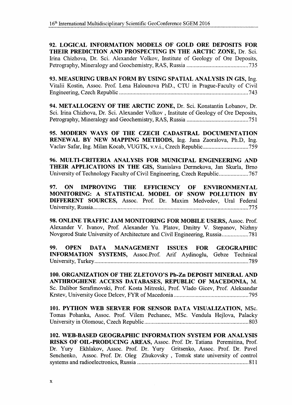92. LOGICAL INFORMATION MODELS OF GOLD ORE DEPOSITS FOR THEIR PREDICTION AND PROSPECTING IN THE ARCTIC ZONE, Dr. Sci. Irina Chizhova, Dr. Sci. Alexander Volkov, Institute of Geology of Ore Deposits, Petrography, Mineralogy and Geochemistry, RAS, Russia 735

93. MEASURING URBAN FORM BY USING SPATIAL ANALYSIS IN GIS, Ing. Vitalii Kostin, Assoc. Prof. Lena Halounova PhD., CTU in Prague-Faculty of Civil Engineering, Czech Republic 743

94. METALLOGENY OF THE ARCTIC ZONE, Dr. Sci. Konstantin Lobanov, Dr. Sci. Irina Chizhova, Dr. Sci. Alexander Volkov , Institute of Geology of Ore Deposits, Petrography, Mineralogy and Geochemistry, RAS, Russia 751

95. MODERN WAYS OF THE CZECH CADASTRAL DOCUMENTATION RENEWAL BY NEW MAPPING METHODS, Ing. Jana Zaoralova, Ph.D, Ing. Vaclav Safar, Ing. Milan Kocab, VUGTK, v.v.i., Czech Republic 759

96. MULTI-CRITERIA ANALYSIS FOR MUNICIPAL ENGINEERING AND THEIR APPLICATIONS IN THE GIS, Stanislava Dermekova, Jan Skurla, Brno University of Technology Faculty of Civil Engineering, Czech Republic 767

97. ON IMPROVING THE EFFICIENCY OF ENVIRONMENTAL MONITORING: A STATISTICAL MODEL OF SNOW POLLUTION BY DIFFERENT SOURCES, Assoc. Prof. Dr. Maxim Medvedev, Ural Federal University, Russia 775

98. ONLINE TRAFFIC JAM MONITORING FOR MOBILE USERS, Assoc. Prof. Alexander V. Ivanov, Prof. Alexander Yu. Platov, Dmitry V. Stepanov, Nizhny Novgorod State University of Architecture and Civil Engineering, Russia 781

99. OPEN DATA MANAGEMENT ISSUES FOR GEOGRAPHIC INFORMATION SYSTEMS, Assoc.Prof. Arif Aydinoglu, Gebze Technical University, Turkey 789

100. ORGANIZATION OF THE ZLETOVO'S Pb-Zn DEPOSIT MINERAL AND ANTHROGHENE ACCESS DATABASES, REPUBLIC OF MACEDONIA, M. Sc. Dalibor Serafimovski, Prof. Kosta Mitreski, Prof. Vlado Gicev, Prof. Aleksandar Krstev, University Goce Delcev, FYR of Macedonia 795

101. PYTHON WEB SERVER FOR SENSOR DATA VISUALIZATION, MSc. Tomas Pohanka, Assoc. Prof. Vilem Pechanec, MSc. Vendula Hejlova, Palacky University in Olomouc, Czech Republic 803

102. WEB-BASED GEOGRAPHIC INFORMATION SYSTEM FOR ANALYSIS RISKS OF OIL-PRODUCING AREAS, Assoc. Prof. Dr. Tatiana Peremitina, Prof. Dr. Yury Ekhlakov, Assoc. Prof. Dr. Yury Gritsenko, Assoc. Prof. Dr. Pavel Senchenko, Assoc. Prof. Dr. Oleg Zhukovsky , Tomsk state university of control systems and radioelectronics, Russia 811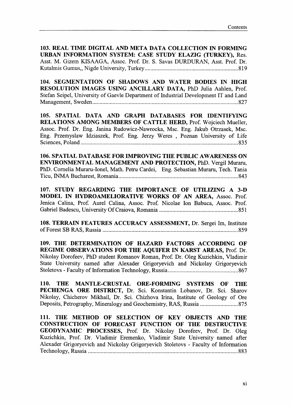103. REAL TIME DIGITAL AND META DATA COLLECTION IN FORMING URBAN INFORMATION SYSTEM: CASE STUDY ELAZIG (TURKEY), Res. Asst. M. Gizem KISAAGA, Assoc. Prof. Dr. S. Savas DURDURAN, Asst. Prof. Dr. Kutalmis Gumus,, Nigde University, Turkey 819

104. SEGMENTATION OF SHADOWS AND WATER BODIES IN HIGH RESOLUTION IMAGES USING ANCILLARY DATA, PhD Julia Aahlen, Prof. Stefan Seipel, University of Gaevle Department of Industrial Development IT and Land Management, Sweden 827

105. SPATIAL DATA AND GRAPH DATABASES FOR IDENTIFYING RELATIONS AMONG MEMBERS OF CATTLE HERD, Prof. Wojciech Mueller, Assoc. Prof. Dr. Eng. Janina Rudowicz-Nawrocka, Msc. Eng. Jakub Otrzasek, Msc. Eng. Przemyslaw Idziaszek, Prof. Eng. Jerzy Weres , Poznan University of Life Sciences, Poland 835

106. SPATIAL DATABASE FOR IMPROVING THE PUBLIC AWARENESS ON ENVIRONMENTAL MANAGEMENT AND PROTECTION, PhD. Vergil Muraru, PhD. Cornelia Muraru-Ionel, Math. Petru Cardei, Eng. Sebastian Muraru, Tech. Tania Ticu, BSfMA Bucharest, Romania 843

107. STUDY REGARDING THE IMPORTANCE OF UTILIZING A 3-D MODEL IN HYDROAMELIORATIVE WORKS OF AN AREA, Assoc. Prof. Jenica Calina, Prof. Aurel Calina, Assoc. Prof. Nicolae Ion Babuca, Assoc. Prof. Gabriel Badescu, University Of Craiova, Romania 851

108. TERRAIN FEATURES ACCURACY ASSESSMENT, Dr. Sergei Im, Institute of Forest SB RAS, Russia 859

109. THE DETERMINATION OF HAZARD FACTORS ACCORDING OF REGIME OBSERVATIONS FOR THE AQUIFER IN KARST AREAS, Prof. Dr. Nikolay Dorofeev, PhD student Romanov Roman, Prof. Dr. Oleg Kuzichkin, Vladimir State University named after Alexader Grigoryevich and Nickolay Grigoryevich Stoletovs - Faculty of Information Technology, Russia 867

110. THE MANTLE-CRUSTAL ORE-FORMING SYSTEMS OF THE PECHENGA ORE DISTRICT, Dr. Sci. Konstantin Lobanov, Dr. Sci. Sharov Nikolay, Chicherov Mikhail, Dr. Sci. Chizhova Irina, Institute of Geology of Ore Deposits, Petrography, Mineralogy and Geochemistry, RAS, Russia 875

111. THE METHOD OF SELECTION OF KEY OBJECTS AND THE CONSTRUCTION OF FORECAST FUNCTION OF THE DESTRUCTIVE GEODYNAMIC PROCESSES, Prof. Dr. Nikolay Dorofeev, Prof. Dr. Oleg Kuzichkin, Prof. Dr. Vladimir Eremenko, Vladimir State University named after Alexader Grigoryevich and Nickolay Grigoryevich Stoletovs - Faculty of Information Technology, Russia 883